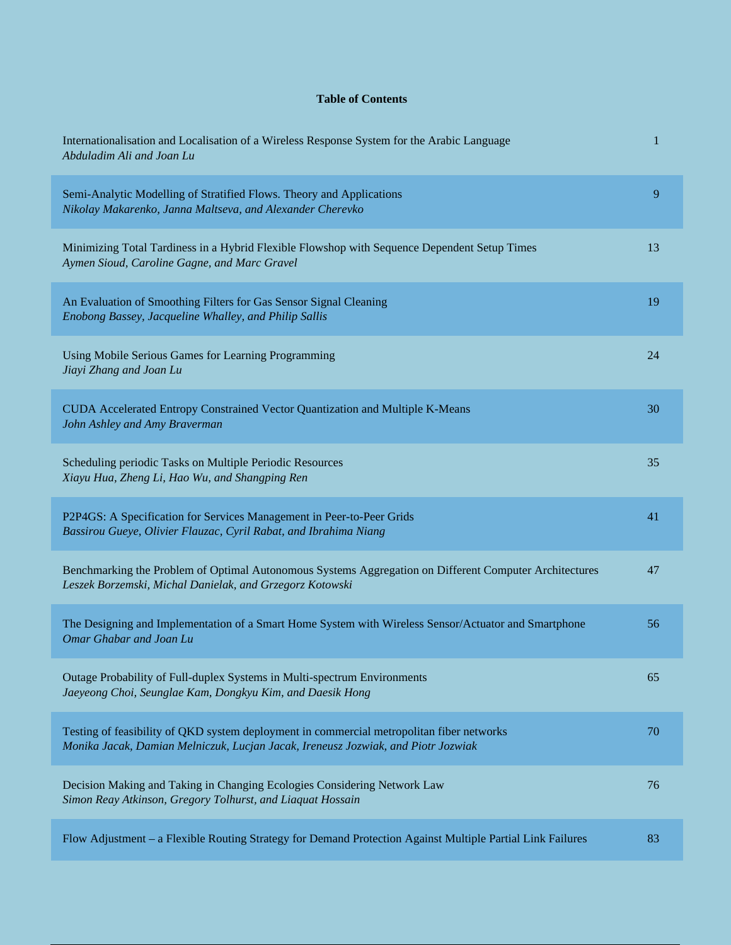## **Table of Contents**

| Internationalisation and Localisation of a Wireless Response System for the Arabic Language<br>Abduladim Ali and Joan Lu                                                       | 1  |
|--------------------------------------------------------------------------------------------------------------------------------------------------------------------------------|----|
| Semi-Analytic Modelling of Stratified Flows. Theory and Applications<br>Nikolay Makarenko, Janna Maltseva, and Alexander Cherevko                                              | 9  |
| Minimizing Total Tardiness in a Hybrid Flexible Flowshop with Sequence Dependent Setup Times<br>Aymen Sioud, Caroline Gagne, and Marc Gravel                                   | 13 |
| An Evaluation of Smoothing Filters for Gas Sensor Signal Cleaning<br>Enobong Bassey, Jacqueline Whalley, and Philip Sallis                                                     | 19 |
| Using Mobile Serious Games for Learning Programming<br>Jiayi Zhang and Joan Lu                                                                                                 | 24 |
| CUDA Accelerated Entropy Constrained Vector Quantization and Multiple K-Means<br>John Ashley and Amy Braverman                                                                 | 30 |
| Scheduling periodic Tasks on Multiple Periodic Resources<br>Xiayu Hua, Zheng Li, Hao Wu, and Shangping Ren                                                                     | 35 |
| P2P4GS: A Specification for Services Management in Peer-to-Peer Grids<br>Bassirou Gueye, Olivier Flauzac, Cyril Rabat, and Ibrahima Niang                                      | 41 |
| Benchmarking the Problem of Optimal Autonomous Systems Aggregation on Different Computer Architectures<br>Leszek Borzemski, Michal Danielak, and Grzegorz Kotowski             | 47 |
| The Designing and Implementation of a Smart Home System with Wireless Sensor/Actuator and Smartphone<br>Omar Ghabar and Joan Lu                                                | 56 |
| Outage Probability of Full-duplex Systems in Multi-spectrum Environments<br>Jaeyeong Choi, Seunglae Kam, Dongkyu Kim, and Daesik Hong                                          | 65 |
| Testing of feasibility of QKD system deployment in commercial metropolitan fiber networks<br>Monika Jacak, Damian Melniczuk, Lucjan Jacak, Ireneusz Jozwiak, and Piotr Jozwiak | 70 |
| Decision Making and Taking in Changing Ecologies Considering Network Law<br>Simon Reay Atkinson, Gregory Tolhurst, and Liaquat Hossain                                         | 76 |
| Flow Adjustment - a Flexible Routing Strategy for Demand Protection Against Multiple Partial Link Failures                                                                     | 83 |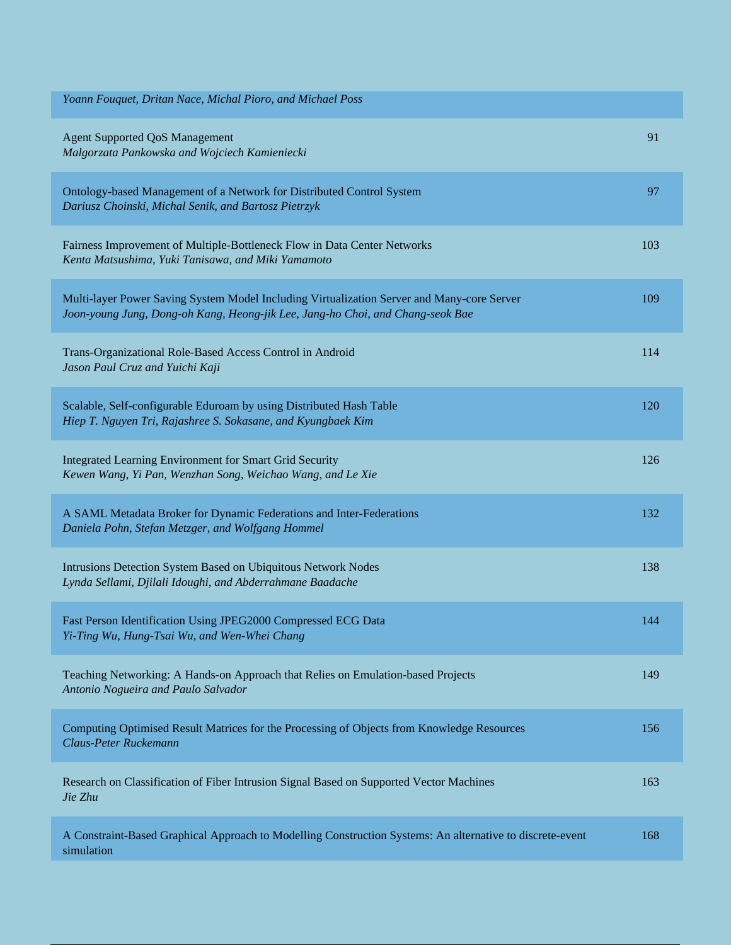| Yoann Fouquet, Dritan Nace, Michal Pioro, and Michael Poss                                                                                                                   |     |
|------------------------------------------------------------------------------------------------------------------------------------------------------------------------------|-----|
| <b>Agent Supported QoS Management</b><br>Malgorzata Pankowska and Wojciech Kamieniecki                                                                                       | 91  |
| Ontology-based Management of a Network for Distributed Control System<br>Dariusz Choinski, Michal Senik, and Bartosz Pietrzyk                                                | 97  |
| Fairness Improvement of Multiple-Bottleneck Flow in Data Center Networks<br>Kenta Matsushima, Yuki Tanisawa, and Miki Yamamoto                                               | 103 |
| Multi-layer Power Saving System Model Including Virtualization Server and Many-core Server<br>Joon-young Jung, Dong-oh Kang, Heong-jik Lee, Jang-ho Choi, and Chang-seok Bae | 109 |
| Trans-Organizational Role-Based Access Control in Android<br>Jason Paul Cruz and Yuichi Kaji                                                                                 | 114 |
| Scalable, Self-configurable Eduroam by using Distributed Hash Table<br>Hiep T. Nguyen Tri, Rajashree S. Sokasane, and Kyungbaek Kim                                          | 120 |
| Integrated Learning Environment for Smart Grid Security<br>Kewen Wang, Yi Pan, Wenzhan Song, Weichao Wang, and Le Xie                                                        | 126 |
| A SAML Metadata Broker for Dynamic Federations and Inter-Federations<br>Daniela Pohn, Stefan Metzger, and Wolfgang Hommel                                                    | 132 |
| Intrusions Detection System Based on Ubiquitous Network Nodes<br>Lynda Sellami, Djilali Idoughi, and Abderrahmane Baadache                                                   | 138 |
| Fast Person Identification Using JPEG2000 Compressed ECG Data<br>Yi-Ting Wu, Hung-Tsai Wu, and Wen-Whei Chang                                                                | 144 |
| Teaching Networking: A Hands-on Approach that Relies on Emulation-based Projects<br>Antonio Nogueira and Paulo Salvador                                                      | 149 |
| Computing Optimised Result Matrices for the Processing of Objects from Knowledge Resources<br>Claus-Peter Ruckemann                                                          | 156 |
| Research on Classification of Fiber Intrusion Signal Based on Supported Vector Machines<br>Jie Zhu                                                                           | 163 |
| A Constraint-Based Graphical Approach to Modelling Construction Systems: An alternative to discrete-event<br>simulation                                                      | 168 |